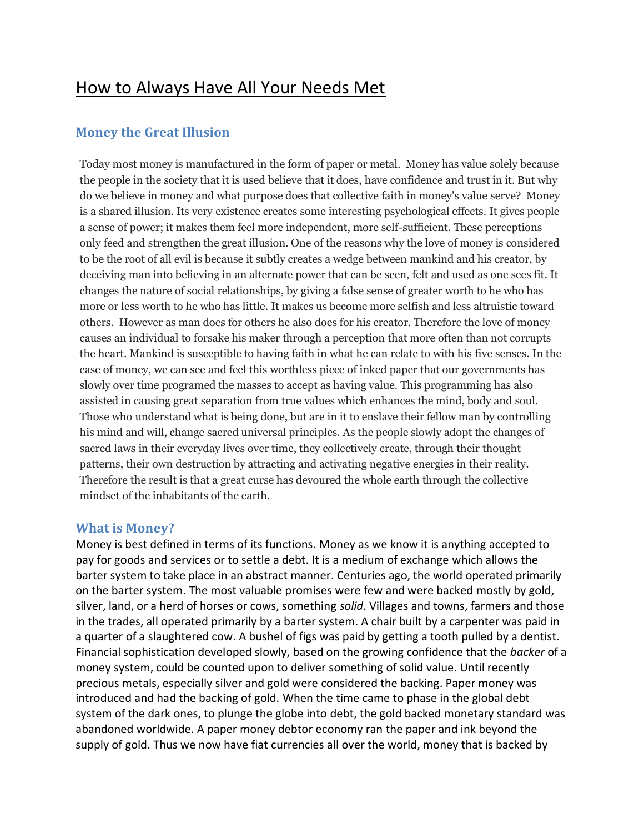# How to Always Have All Your Needs Met

# **Money the Great Illusion**

Today most money is manufactured in the form of paper or metal. Money has value solely because the people in the society that it is used believe that it does, have confidence and trust in it. But why do we believe in money and what purpose does that collective faith in money's value serve? Money is a shared illusion. Its very existence creates some interesting psychological effects. It gives people a sense of power; it makes them feel more independent, more self-sufficient. These perceptions only feed and strengthen the great illusion. One of the reasons why the love of money is considered to be the root of all evil is because it subtly creates a wedge between mankind and his creator, by deceiving man into believing in an alternate power that can be seen, felt and used as one sees fit. It changes the nature of social relationships, by giving a false sense of greater worth to he who has more or less worth to he who has little. It makes us become more selfish and less altruistic toward others. However as man does for others he also does for his creator. Therefore the love of money causes an individual to forsake his maker through a perception that more often than not corrupts the heart. Mankind is susceptible to having faith in what he can relate to with his five senses. In the case of money, we can see and feel this worthless piece of inked paper that our governments has slowly over time programed the masses to accept as having value. This programming has also assisted in causing great separation from true values which enhances the mind, body and soul. Those who understand what is being done, but are in it to enslave their fellow man by controlling his mind and will, change sacred universal principles. As the people slowly adopt the changes of sacred laws in their everyday lives over time, they collectively create, through their thought patterns, their own destruction by attracting and activating negative energies in their reality. Therefore the result is that a great curse has devoured the whole earth through the collective mindset of the inhabitants of the earth.

#### **What is Money?**

Money is best defined in terms of its functions. Money as we know it is anything accepted to pay for goods and services or to settle a debt. It is a medium of exchange which allows the barter system to take place in an abstract manner. Centuries ago, the world operated primarily on the barter system. The most valuable promises were few and were backed mostly by gold, silver, land, or a herd of horses or cows, something *solid*. Villages and towns, farmers and those in the trades, all operated primarily by a barter system. A chair built by a carpenter was paid in a quarter of a slaughtered cow. A bushel of figs was paid by getting a tooth pulled by a dentist. Financial sophistication developed slowly, based on the growing confidence that the *backer* of a money system, could be counted upon to deliver something of solid value. Until recently precious metals, especially silver and gold were considered the backing. Paper money was introduced and had the backing of gold. When the time came to phase in the global debt system of the dark ones, to plunge the globe into debt, the gold backed monetary standard was abandoned worldwide. A paper money debtor economy ran the paper and ink beyond the supply of gold. Thus we now have fiat currencies all over the world, money that is backed by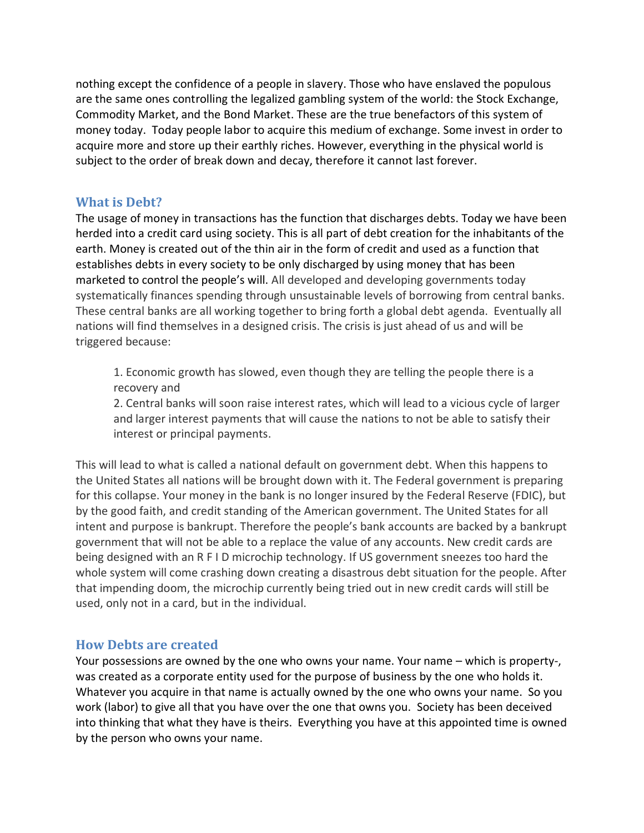nothing except the confidence of a people in slavery. Those who have enslaved the populous are the same ones controlling the legalized gambling system of the world: the Stock Exchange, Commodity Market, and the Bond Market. These are the true benefactors of this system of money today. Today people labor to acquire this medium of exchange. Some invest in order to acquire more and store up their earthly riches. However, everything in the physical world is subject to the order of break down and decay, therefore it cannot last forever.

#### **What is Debt?**

The usage of money in transactions has the function that discharges debts. Today we have been herded into a credit card using society. This is all part of debt creation for the inhabitants of the earth. Money is created out of the thin air in the form of credit and used as a function that establishes debts in every society to be only discharged by using money that has been marketed to control the people's will. All developed and developing governments today systematically finances spending through unsustainable levels of borrowing from central banks. These central banks are all working together to bring forth a global debt agenda. Eventually all nations will find themselves in a designed crisis. The crisis is just ahead of us and will be triggered because:

1. Economic growth has slowed, even though they are telling the people there is a recovery and

2. Central banks will soon raise interest rates, which will lead to a vicious cycle of larger and larger interest payments that will cause the nations to not be able to satisfy their interest or principal payments.

This will lead to what is called a national default on government debt. When this happens to the United States all nations will be brought down with it. The Federal government is preparing for this collapse. Your money in the bank is no longer insured by the Federal Reserve (FDIC), but by the good faith, and credit standing of the American government. The United States for all intent and purpose is bankrupt. Therefore the people's bank accounts are backed by a bankrupt government that will not be able to a replace the value of any accounts. New credit cards are being designed with an R F I D microchip technology. If US government sneezes too hard the whole system will come crashing down creating a disastrous debt situation for the people. After that impending doom, the microchip currently being tried out in new credit cards will still be used, only not in a card, but in the individual.

#### **How Debts are created**

Your possessions are owned by the one who owns your name. Your name – which is property-, was created as a corporate entity used for the purpose of business by the one who holds it. Whatever you acquire in that name is actually owned by the one who owns your name. So you work (labor) to give all that you have over the one that owns you. Society has been deceived into thinking that what they have is theirs. Everything you have at this appointed time is owned by the person who owns your name.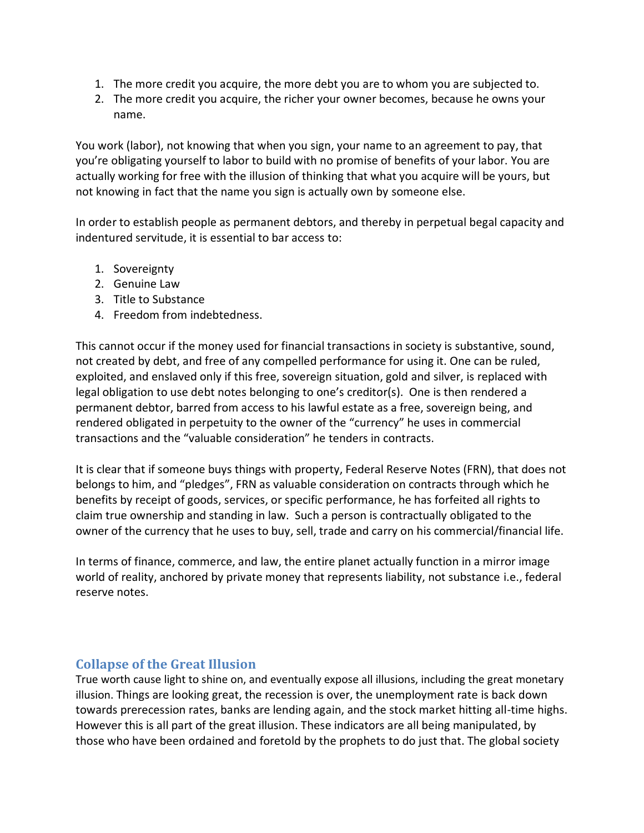- 1. The more credit you acquire, the more debt you are to whom you are subjected to.
- 2. The more credit you acquire, the richer your owner becomes, because he owns your name.

You work (labor), not knowing that when you sign, your name to an agreement to pay, that you're obligating yourself to labor to build with no promise of benefits of your labor. You are actually working for free with the illusion of thinking that what you acquire will be yours, but not knowing in fact that the name you sign is actually own by someone else.

In order to establish people as permanent debtors, and thereby in perpetual begal capacity and indentured servitude, it is essential to bar access to:

- 1. Sovereignty
- 2. Genuine Law
- 3. Title to Substance
- 4. Freedom from indebtedness.

This cannot occur if the money used for financial transactions in society is substantive, sound, not created by debt, and free of any compelled performance for using it. One can be ruled, exploited, and enslaved only if this free, sovereign situation, gold and silver, is replaced with legal obligation to use debt notes belonging to one's creditor(s). One is then rendered a permanent debtor, barred from access to his lawful estate as a free, sovereign being, and rendered obligated in perpetuity to the owner of the "currency" he uses in commercial transactions and the "valuable consideration" he tenders in contracts.

It is clear that if someone buys things with property, Federal Reserve Notes (FRN), that does not belongs to him, and "pledges", FRN as valuable consideration on contracts through which he benefits by receipt of goods, services, or specific performance, he has forfeited all rights to claim true ownership and standing in law. Such a person is contractually obligated to the owner of the currency that he uses to buy, sell, trade and carry on his commercial/financial life.

In terms of finance, commerce, and law, the entire planet actually function in a mirror image world of reality, anchored by private money that represents liability, not substance i.e., federal reserve notes.

#### **Collapse of the Great Illusion**

True worth cause light to shine on, and eventually expose all illusions, including the great monetary illusion. Things are looking great, the recession is over, the unemployment rate is back down towards prerecession rates, banks are lending again, and the stock market hitting all-time highs. However this is all part of the great illusion. These indicators are all being manipulated, by those who have been ordained and foretold by the prophets to do just that. The global society